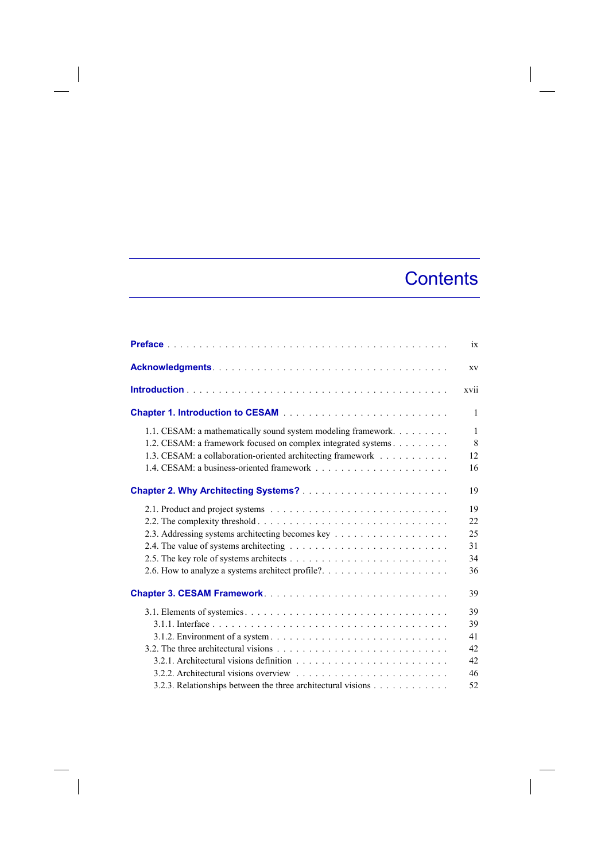## **Contents**

|                                                                                                                                                                                               | ix                      |
|-----------------------------------------------------------------------------------------------------------------------------------------------------------------------------------------------|-------------------------|
|                                                                                                                                                                                               | XV                      |
|                                                                                                                                                                                               | xvii                    |
|                                                                                                                                                                                               | $\mathbf{1}$            |
| 1.1. CESAM: a mathematically sound system modeling framework.<br>1.2. CESAM: a framework focused on complex integrated systems<br>1.3. CESAM: a collaboration-oriented architecting framework | $\mathbf{1}$<br>8<br>12 |
|                                                                                                                                                                                               | 16                      |
|                                                                                                                                                                                               | 19                      |
|                                                                                                                                                                                               | 19                      |
|                                                                                                                                                                                               | 22                      |
|                                                                                                                                                                                               | 25                      |
|                                                                                                                                                                                               | 31                      |
|                                                                                                                                                                                               | 34                      |
|                                                                                                                                                                                               | 36                      |
|                                                                                                                                                                                               | 39                      |
|                                                                                                                                                                                               | 39                      |
|                                                                                                                                                                                               | 39                      |
|                                                                                                                                                                                               | 41                      |
|                                                                                                                                                                                               | 42                      |
| 3.2.1. Architectural visions definition $\ldots$ , $\ldots$ , $\ldots$ , $\ldots$ , $\ldots$ , $\ldots$ , $\ldots$ , $\ldots$                                                                 | 42                      |
|                                                                                                                                                                                               | 46                      |
| 3.2.3. Relationships between the three architectural visions                                                                                                                                  | 52                      |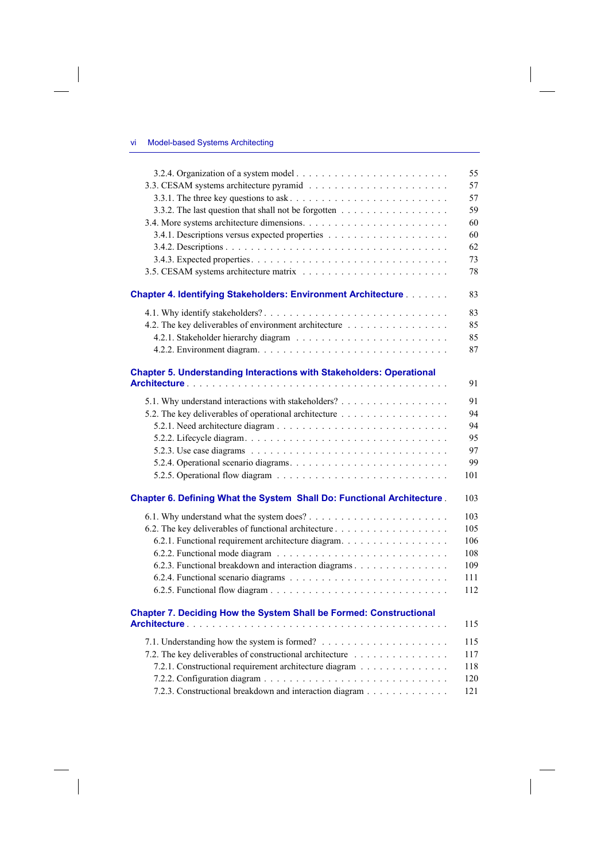$\overline{\phantom{a}}$ 

 $\overline{\phantom{a}}$ 

|                                                                             | 55  |
|-----------------------------------------------------------------------------|-----|
|                                                                             | 57  |
|                                                                             | 57  |
| 3.3.2. The last question that shall not be forgotten                        | 59  |
|                                                                             | 60  |
|                                                                             | 60  |
|                                                                             | 62  |
|                                                                             | 73  |
|                                                                             | 78  |
| <b>Chapter 4. Identifying Stakeholders: Environment Architecture</b>        | 83  |
|                                                                             | 83  |
| 4.2. The key deliverables of environment architecture                       | 85  |
|                                                                             | 85  |
|                                                                             | 87  |
|                                                                             |     |
| <b>Chapter 5. Understanding Interactions with Stakeholders: Operational</b> |     |
|                                                                             | 91  |
| 5.1. Why understand interactions with stakeholders?                         | 91  |
|                                                                             | 94  |
|                                                                             | 94  |
|                                                                             | 95  |
|                                                                             | 97  |
|                                                                             | 99  |
|                                                                             | 101 |
| Chapter 6. Defining What the System Shall Do: Functional Architecture.      | 103 |
|                                                                             | 103 |
|                                                                             | 105 |
| 6.2.1. Functional requirement architecture diagram.                         | 106 |
|                                                                             | 108 |
| 6.2.3. Functional breakdown and interaction diagrams                        | 109 |
|                                                                             | 111 |
|                                                                             | 112 |
|                                                                             |     |
| Chapter 7. Deciding How the System Shall be Formed: Constructional          | 115 |
|                                                                             | 115 |
| 7.2. The key deliverables of constructional architecture                    | 117 |
| 7.2.1. Constructional requirement architecture diagram                      | 118 |
|                                                                             | 120 |
| 7.2.3. Constructional breakdown and interaction diagram                     | 121 |
|                                                                             |     |